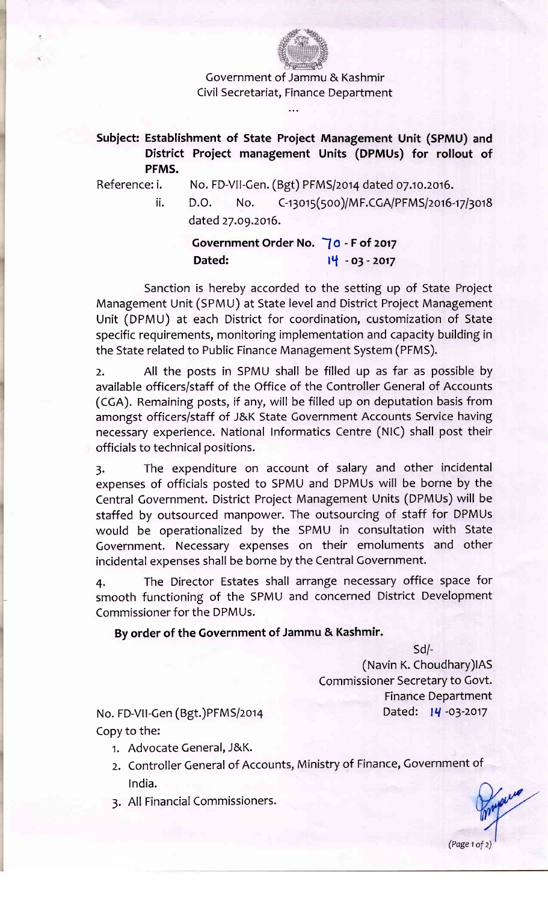

Covernment of Jammu & Kashmir Civil Secretariat, Finance Department

## Subject: Establishment of State Project Management Unit (SPMU) and District Proiect management Units (DPMUs) for rollout of PFMS.

Reference: i. No. FD-VII-Gen. (Bgt) PFMS/2014 dated 07.10.2016.

ii.  $D.O.$  No.  $C-13015(500)/MF.CGA/PFMS/2016-17/3018$ dated 27.09.2016.

> Government Order No. 70 - F of 2017 Dated:  $14 - 03 - 2017$

Sanction is hereby accorded to the setting up of State Project Management Unit (SPMU) at State level and District Project Management Unit (DPMU) at each District for coordination, customization of State specific requirements, monitoring implementation and capacity building in the State related to Public Finance Management System (PFMS).

2. All the posts in SPMU shall be filled up as far as possible by available officers/staff of the Office of the Controller General of Accounts (CCA). Remaining posts, if any, will be filled up on deputation basis from amongst officers/staff of J&K State Government Accounts Service having necessary experience. National Informatics Centre (NIC) shall post their officials to technical positions.

3. The expenditure on account of salary and other incidental expenses of officials posted to SPMU and DPMUs will be borne by the Central Government. District Project Management Units (DPMUs) will be staffed by outsourced manpower. The outsourcing of staff for DPMUs would be operationalized by the SPMU in consultation with State Covernment. Necessary expenses on their emoluments and other incidental expenses shall be borne by the Central Government.

4. The Director Estates shall arrange necessary office space for smooth functioning of the SPMU and concerned District Development Commissioner for the DPMUs.

## By order of the Government of Jammu & Kashmir.

sd/-

(Navin K. Choudhary) IAS Commissioner Secretary to Govt. Finance Department Dated: 14 -03-2017

No. FD-VII-Gen (Bgt.)PFMS/2014 Copy to the:

- 1. Advocate Ceneral, J&K.
- 2. Controller Ceneral of Accounts, Ministry of Finance, Government of lndia.
- 3. All Financial Commissioners.

(Page  $1$  of  $2$